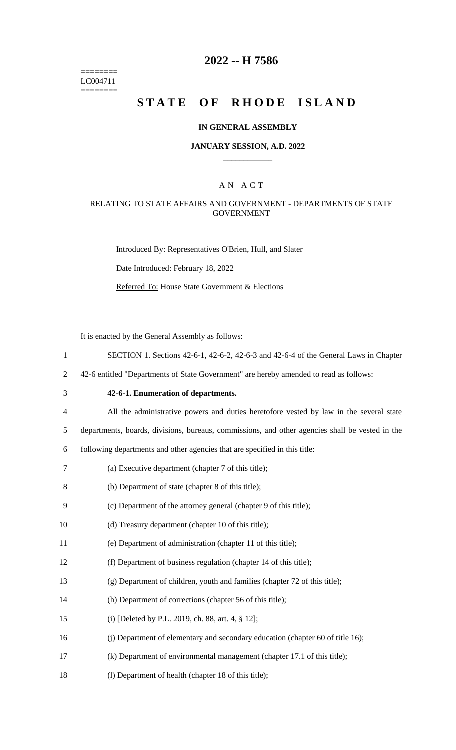======== LC004711 ========

### **2022 -- H 7586**

# **STATE OF RHODE ISLAND**

#### **IN GENERAL ASSEMBLY**

#### **JANUARY SESSION, A.D. 2022 \_\_\_\_\_\_\_\_\_\_\_\_**

### A N A C T

### RELATING TO STATE AFFAIRS AND GOVERNMENT - DEPARTMENTS OF STATE GOVERNMENT

Introduced By: Representatives O'Brien, Hull, and Slater

Date Introduced: February 18, 2022

Referred To: House State Government & Elections

It is enacted by the General Assembly as follows:

- 1 SECTION 1. Sections 42-6-1, 42-6-2, 42-6-3 and 42-6-4 of the General Laws in Chapter
- 2 42-6 entitled "Departments of State Government" are hereby amended to read as follows:
- 

3 **42-6-1. Enumeration of departments.**

4 All the administrative powers and duties heretofore vested by law in the several state

5 departments, boards, divisions, bureaus, commissions, and other agencies shall be vested in the

6 following departments and other agencies that are specified in this title:

- 7 (a) Executive department (chapter 7 of this title);
- 8 (b) Department of state (chapter 8 of this title);
- 9 (c) Department of the attorney general (chapter 9 of this title);
- 10 (d) Treasury department (chapter 10 of this title);
- 11 (e) Department of administration (chapter 11 of this title);
- 12 (f) Department of business regulation (chapter 14 of this title);
- 13 (g) Department of children, youth and families (chapter 72 of this title);
- 14 (h) Department of corrections (chapter 56 of this title);
- 15 (i) [Deleted by P.L. 2019, ch. 88, art. 4, § 12];
- 16 (j) Department of elementary and secondary education (chapter 60 of title 16);
- 17 (k) Department of environmental management (chapter 17.1 of this title);
- 18 (l) Department of health (chapter 18 of this title);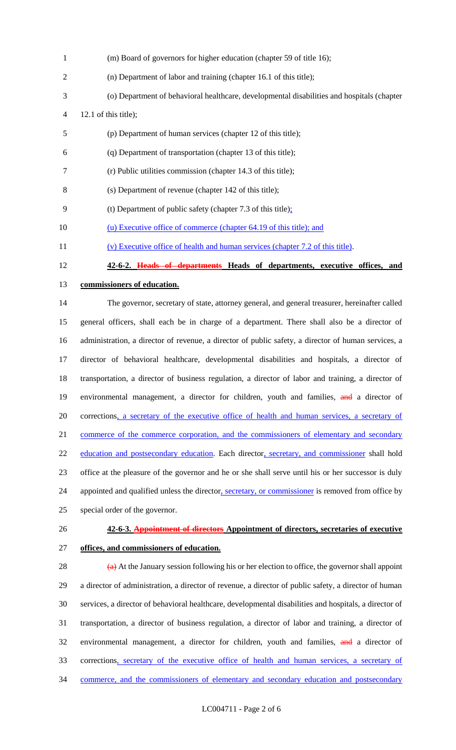| $\mathbf{1}$   | (m) Board of governors for higher education (chapter 59 of title 16);                                               |
|----------------|---------------------------------------------------------------------------------------------------------------------|
| $\overline{2}$ | (n) Department of labor and training (chapter 16.1 of this title);                                                  |
| 3              | (o) Department of behavioral healthcare, developmental disabilities and hospitals (chapter                          |
| 4              | 12.1 of this title);                                                                                                |
| 5              | (p) Department of human services (chapter 12 of this title);                                                        |
| 6              | (q) Department of transportation (chapter 13 of this title);                                                        |
| 7              | (r) Public utilities commission (chapter 14.3 of this title);                                                       |
| 8              | (s) Department of revenue (chapter 142 of this title);                                                              |
| 9              | (t) Department of public safety (chapter $7.3$ of this title);                                                      |
| 10             | (u) Executive office of commerce (chapter 64.19 of this title); and                                                 |
| 11             | (v) Executive office of health and human services (chapter 7.2 of this title).                                      |
| 12             | 42-6-2. Heads of departments Heads of departments, executive offices, and                                           |
| 13             | commissioners of education.                                                                                         |
| 14             | The governor, secretary of state, attorney general, and general treasurer, hereinafter called                       |
| 15             | general officers, shall each be in charge of a department. There shall also be a director of                        |
| 16             | administration, a director of revenue, a director of public safety, a director of human services, a                 |
| 17             | director of behavioral healthcare, developmental disabilities and hospitals, a director of                          |
| 18             | transportation, a director of business regulation, a director of labor and training, a director of                  |
| 19             | environmental management, a director for children, youth and families, and a director of                            |
| 20             | corrections, a secretary of the executive office of health and human services, a secretary of                       |
| 21             | commerce of the commerce corporation, and the commissioners of elementary and secondary                             |
| 22             | education and postsecondary education. Each director, secretary, and commissioner shall hold                        |
| 23             | office at the pleasure of the governor and he or she shall serve until his or her successor is duly                 |
| 24             | appointed and qualified unless the director, secretary, or commissioner is removed from office by                   |
| 25             | special order of the governor.                                                                                      |
| 26             | 42-6-3. Appointment of directors Appointment of directors, secretaries of executive                                 |
| 27             | offices, and commissioners of education.                                                                            |
| 28             | $\overleftrightarrow{a}$ At the January session following his or her election to office, the governor shall appoint |
| 29             | a director of administration, a director of revenue, a director of public safety, a director of human               |
| 30             | services, a director of behavioral healthcare, developmental disabilities and hospitals, a director of              |
| 31             | transportation, a director of business regulation, a director of labor and training, a director of                  |
| 32             | environmental management, a director for children, youth and families, and a director of                            |
| 33             | corrections, secretary of the executive office of health and human services, a secretary of                         |

commerce, and the commissioners of elementary and secondary education and postsecondary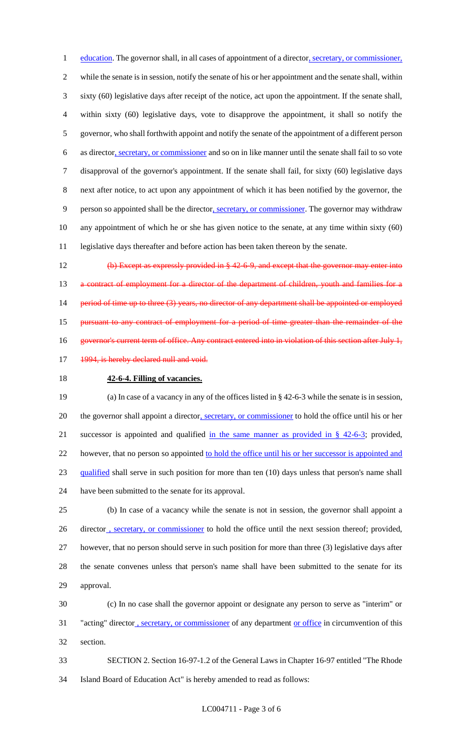1 education. The governor shall, in all cases of appointment of a director, secretary, or commissioner, while the senate is in session, notify the senate of his or her appointment and the senate shall, within sixty (60) legislative days after receipt of the notice, act upon the appointment. If the senate shall, within sixty (60) legislative days, vote to disapprove the appointment, it shall so notify the governor, who shall forthwith appoint and notify the senate of the appointment of a different person 6 as director, secretary, or commissioner and so on in like manner until the senate shall fail to so vote disapproval of the governor's appointment. If the senate shall fail, for sixty (60) legislative days next after notice, to act upon any appointment of which it has been notified by the governor, the person so appointed shall be the director, secretary, or commissioner. The governor may withdraw any appointment of which he or she has given notice to the senate, at any time within sixty (60) legislative days thereafter and before action has been taken thereon by the senate.

 (b) Except as expressly provided in § 42-6-9, and except that the governor may enter into 13 a contract of employment for a director of the department of children, youth and families for a 14 period of time up to three (3) years, no director of any department shall be appointed or employed **pursuant to any contract of employment for a period of time greater than the remainder of the** 16 governor's current term of office. Any contract entered into in violation of this section after July 1, 17 1994, is hereby declared null and void.

**42-6-4. Filling of vacancies.**

 (a) In case of a vacancy in any of the offices listed in § 42-6-3 while the senate is in session, 20 the governor shall appoint a director, secretary, or commissioner to hold the office until his or her 21 successor is appointed and qualified in the same manner as provided in  $\S$  42-6-3; provided, 22 however, that no person so appointed to hold the office until his or her successor is appointed and qualified shall serve in such position for more than ten (10) days unless that person's name shall have been submitted to the senate for its approval.

 (b) In case of a vacancy while the senate is not in session, the governor shall appoint a 26 director , secretary, or commissioner to hold the office until the next session thereof; provided, however, that no person should serve in such position for more than three (3) legislative days after the senate convenes unless that person's name shall have been submitted to the senate for its approval.

 (c) In no case shall the governor appoint or designate any person to serve as "interim" or 31 "acting" director, secretary, or commissioner of any department or office in circumvention of this section.

 SECTION 2. Section 16-97-1.2 of the General Laws in Chapter 16-97 entitled "The Rhode Island Board of Education Act" is hereby amended to read as follows: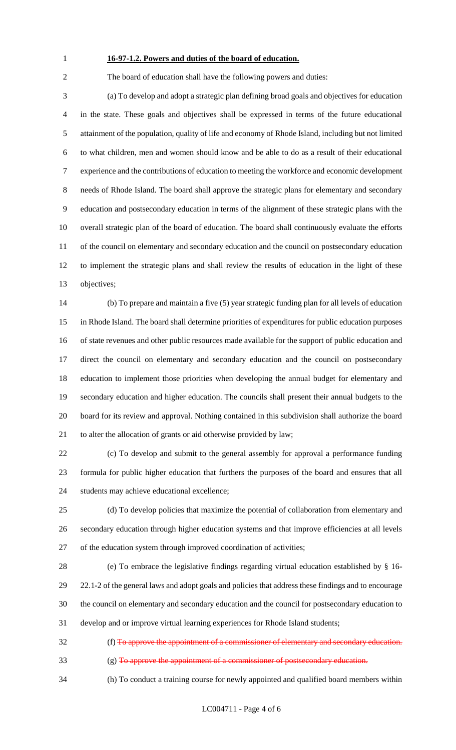### **16-97-1.2. Powers and duties of the board of education.**

The board of education shall have the following powers and duties:

 (a) To develop and adopt a strategic plan defining broad goals and objectives for education in the state. These goals and objectives shall be expressed in terms of the future educational attainment of the population, quality of life and economy of Rhode Island, including but not limited to what children, men and women should know and be able to do as a result of their educational experience and the contributions of education to meeting the workforce and economic development needs of Rhode Island. The board shall approve the strategic plans for elementary and secondary education and postsecondary education in terms of the alignment of these strategic plans with the overall strategic plan of the board of education. The board shall continuously evaluate the efforts 11 of the council on elementary and secondary education and the council on postsecondary education to implement the strategic plans and shall review the results of education in the light of these objectives;

 (b) To prepare and maintain a five (5) year strategic funding plan for all levels of education in Rhode Island. The board shall determine priorities of expenditures for public education purposes of state revenues and other public resources made available for the support of public education and direct the council on elementary and secondary education and the council on postsecondary education to implement those priorities when developing the annual budget for elementary and secondary education and higher education. The councils shall present their annual budgets to the board for its review and approval. Nothing contained in this subdivision shall authorize the board to alter the allocation of grants or aid otherwise provided by law;

 (c) To develop and submit to the general assembly for approval a performance funding formula for public higher education that furthers the purposes of the board and ensures that all students may achieve educational excellence;

 (d) To develop policies that maximize the potential of collaboration from elementary and secondary education through higher education systems and that improve efficiencies at all levels of the education system through improved coordination of activities;

 (e) To embrace the legislative findings regarding virtual education established by § 16- 22.1-2 of the general laws and adopt goals and policies that address these findings and to encourage the council on elementary and secondary education and the council for postsecondary education to develop and or improve virtual learning experiences for Rhode Island students;

 (f) To approve the appointment of a commissioner of elementary and secondary education. (g) To approve the appointment of a commissioner of postsecondary education.

(h) To conduct a training course for newly appointed and qualified board members within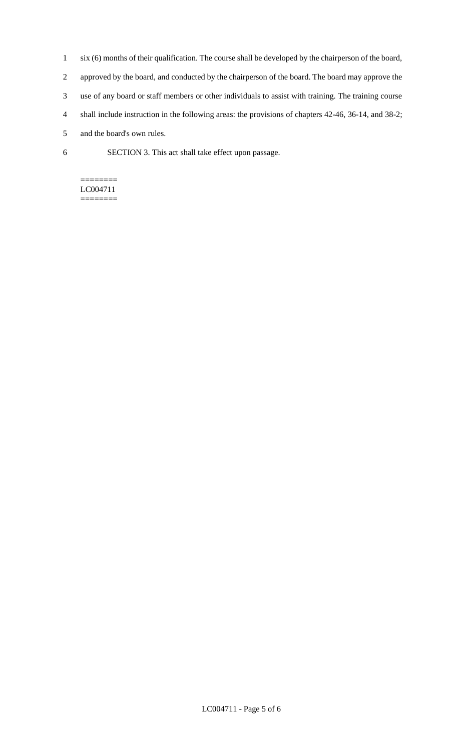- 1 six (6) months of their qualification. The course shall be developed by the chairperson of the board, 2 approved by the board, and conducted by the chairperson of the board. The board may approve the 3 use of any board or staff members or other individuals to assist with training. The training course 4 shall include instruction in the following areas: the provisions of chapters 42-46, 36-14, and 38-2; 5 and the board's own rules.
- 6 SECTION 3. This act shall take effect upon passage.

#### ======== LC004711 ========